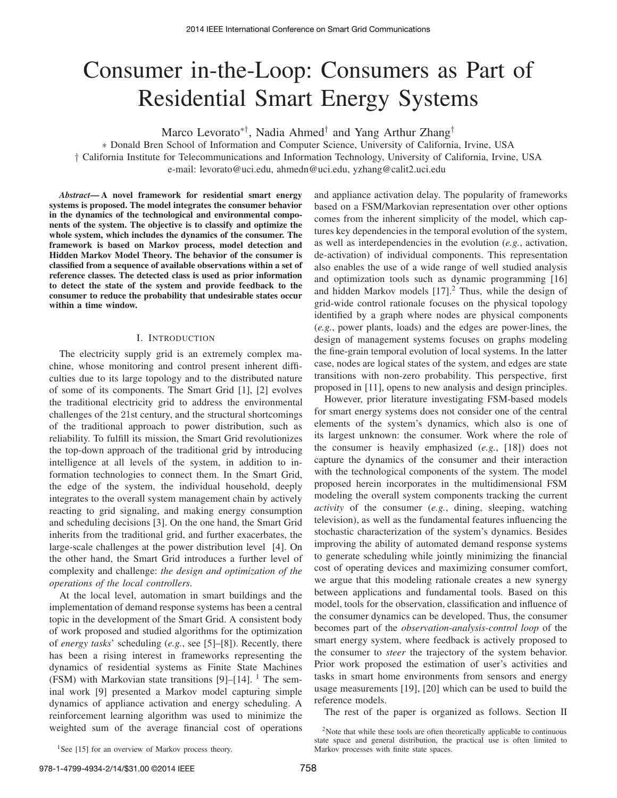# Consumer in-the-Loop: Consumers as Part of Residential Smart Energy Systems

Marco Levorato∗†, Nadia Ahmed† and Yang Arthur Zhang†

∗ Donald Bren School of Information and Computer Science, University of California, Irvine, USA † California Institute for Telecommunications and Information Technology, University of California, Irvine, USA

e-mail: levorato@uci.edu, ahmedn@uci.edu, yzhang@calit2.uci.edu

*Abstract***— A novel framework for residential smart energy systems is proposed. The model integrates the consumer behavior in the dynamics of the technological and environmental components of the system. The objective is to classify and optimize the whole system, which includes the dynamics of the consumer. The framework is based on Markov process, model detection and Hidden Markov Model Theory. The behavior of the consumer is classified from a sequence of available observations within a set of reference classes. The detected class is used as prior information to detect the state of the system and provide feedback to the consumer to reduce the probability that undesirable states occur within a time window.**

# I. INTRODUCTION

The electricity supply grid is an extremely complex machine, whose monitoring and control present inherent difficulties due to its large topology and to the distributed nature of some of its components. The Smart Grid [1], [2] evolves the traditional electricity grid to address the environmental challenges of the 21st century, and the structural shortcomings of the traditional approach to power distribution, such as reliability. To fulfill its mission, the Smart Grid revolutionizes the top-down approach of the traditional grid by introducing intelligence at all levels of the system, in addition to information technologies to connect them. In the Smart Grid, the edge of the system, the individual household, deeply integrates to the overall system management chain by actively reacting to grid signaling, and making energy consumption and scheduling decisions [3]. On the one hand, the Smart Grid inherits from the traditional grid, and further exacerbates, the large-scale challenges at the power distribution level [4]. On the other hand, the Smart Grid introduces a further level of complexity and challenge: *the design and optimization of the operations of the local controllers*.

At the local level, automation in smart buildings and the implementation of demand response systems has been a central topic in the development of the Smart Grid. A consistent body of work proposed and studied algorithms for the optimization of *energy tasks*' scheduling (*e.g.*, see [5]–[8]). Recently, there has been a rising interest in frameworks representing the dynamics of residential systems as Finite State Machines (FSM) with Markovian state transitions  $[9]-[14]$ . <sup>1</sup> The seminal work [9] presented a Markov model capturing simple dynamics of appliance activation and energy scheduling. A reinforcement learning algorithm was used to minimize the weighted sum of the average financial cost of operations and appliance activation delay. The popularity of frameworks based on a FSM/Markovian representation over other options comes from the inherent simplicity of the model, which captures key dependencies in the temporal evolution of the system, as well as interdependencies in the evolution (*e.g.*, activation, de-activation) of individual components. This representation also enables the use of a wide range of well studied analysis and optimization tools such as dynamic programming [16] and hidden Markov models  $[17]$ .<sup>2</sup> Thus, while the design of grid-wide control rationale focuses on the physical topology identified by a graph where nodes are physical components (*e.g.*, power plants, loads) and the edges are power-lines, the design of management systems focuses on graphs modeling the fine-grain temporal evolution of local systems. In the latter case, nodes are logical states of the system, and edges are state transitions with non-zero probability. This perspective, first proposed in [11], opens to new analysis and design principles.

However, prior literature investigating FSM-based models for smart energy systems does not consider one of the central elements of the system's dynamics, which also is one of its largest unknown: the consumer. Work where the role of the consumer is heavily emphasized (*e.g.*, [18]) does not capture the dynamics of the consumer and their interaction with the technological components of the system. The model proposed herein incorporates in the multidimensional FSM modeling the overall system components tracking the current *activity* of the consumer (*e.g.*, dining, sleeping, watching television), as well as the fundamental features influencing the stochastic characterization of the system's dynamics. Besides improving the ability of automated demand response systems to generate scheduling while jointly minimizing the financial cost of operating devices and maximizing consumer comfort, we argue that this modeling rationale creates a new synergy between applications and fundamental tools. Based on this model, tools for the observation, classification and influence of the consumer dynamics can be developed. Thus, the consumer becomes part of the *observation-analysis-control loop* of the smart energy system, where feedback is actively proposed to the consumer to *steer* the trajectory of the system behavior. Prior work proposed the estimation of user's activities and tasks in smart home environments from sensors and energy usage measurements [19], [20] which can be used to build the reference models.

The rest of the paper is organized as follows. Section II

<sup>&</sup>lt;sup>2</sup>Note that while these tools are often theoretically applicable to continuous state space and general distribution, the practical use is often limited to Markov processes with finite state spaces.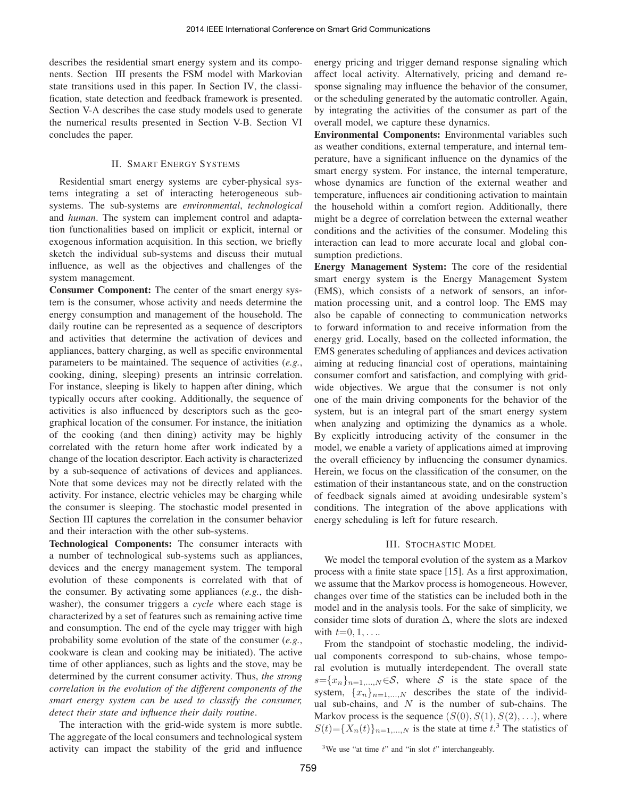describes the residential smart energy system and its components. Section III presents the FSM model with Markovian state transitions used in this paper. In Section IV, the classification, state detection and feedback framework is presented. Section V-A describes the case study models used to generate the numerical results presented in Section V-B. Section VI concludes the paper.

#### II. SMART ENERGY SYSTEMS

Residential smart energy systems are cyber-physical systems integrating a set of interacting heterogeneous subsystems. The sub-systems are *environmental*, *technological* and *human*. The system can implement control and adaptation functionalities based on implicit or explicit, internal or exogenous information acquisition. In this section, we briefly sketch the individual sub-systems and discuss their mutual influence, as well as the objectives and challenges of the system management.

**Consumer Component:** The center of the smart energy system is the consumer, whose activity and needs determine the energy consumption and management of the household. The daily routine can be represented as a sequence of descriptors and activities that determine the activation of devices and appliances, battery charging, as well as specific environmental parameters to be maintained. The sequence of activities (*e.g.*, cooking, dining, sleeping) presents an intrinsic correlation. For instance, sleeping is likely to happen after dining, which typically occurs after cooking. Additionally, the sequence of activities is also influenced by descriptors such as the geographical location of the consumer. For instance, the initiation of the cooking (and then dining) activity may be highly correlated with the return home after work indicated by a change of the location descriptor. Each activity is characterized by a sub-sequence of activations of devices and appliances. Note that some devices may not be directly related with the activity. For instance, electric vehicles may be charging while the consumer is sleeping. The stochastic model presented in Section III captures the correlation in the consumer behavior and their interaction with the other sub-systems.

**Technological Components:** The consumer interacts with a number of technological sub-systems such as appliances, devices and the energy management system. The temporal evolution of these components is correlated with that of the consumer. By activating some appliances (*e.g.*, the dishwasher), the consumer triggers a *cycle* where each stage is characterized by a set of features such as remaining active time and consumption. The end of the cycle may trigger with high probability some evolution of the state of the consumer (*e.g.*, cookware is clean and cooking may be initiated). The active time of other appliances, such as lights and the stove, may be determined by the current consumer activity. Thus, *the strong correlation in the evolution of the different components of the smart energy system can be used to classify the consumer, detect their state and influence their daily routine*.

The interaction with the grid-wide system is more subtle. The aggregate of the local consumers and technological system activity can impact the stability of the grid and influence energy pricing and trigger demand response signaling which affect local activity. Alternatively, pricing and demand response signaling may influence the behavior of the consumer, or the scheduling generated by the automatic controller. Again, by integrating the activities of the consumer as part of the overall model, we capture these dynamics.

**Environmental Components:** Environmental variables such as weather conditions, external temperature, and internal temperature, have a significant influence on the dynamics of the smart energy system. For instance, the internal temperature, whose dynamics are function of the external weather and temperature, influences air conditioning activation to maintain the household within a comfort region. Additionally, there might be a degree of correlation between the external weather conditions and the activities of the consumer. Modeling this interaction can lead to more accurate local and global consumption predictions.

**Energy Management System:** The core of the residential smart energy system is the Energy Management System (EMS), which consists of a network of sensors, an information processing unit, and a control loop. The EMS may also be capable of connecting to communication networks to forward information to and receive information from the energy grid. Locally, based on the collected information, the EMS generates scheduling of appliances and devices activation aiming at reducing financial cost of operations, maintaining consumer comfort and satisfaction, and complying with gridwide objectives. We argue that the consumer is not only one of the main driving components for the behavior of the system, but is an integral part of the smart energy system when analyzing and optimizing the dynamics as a whole. By explicitly introducing activity of the consumer in the model, we enable a variety of applications aimed at improving the overall efficiency by influencing the consumer dynamics. Herein, we focus on the classification of the consumer, on the estimation of their instantaneous state, and on the construction of feedback signals aimed at avoiding undesirable system's conditions. The integration of the above applications with energy scheduling is left for future research.

#### III. STOCHASTIC MODEL

We model the temporal evolution of the system as a Markov process with a finite state space [15]. As a first approximation, we assume that the Markov process is homogeneous. However, changes over time of the statistics can be included both in the model and in the analysis tools. For the sake of simplicity, we consider time slots of duration  $\Delta$ , where the slots are indexed with  $t=0, 1, \ldots$ 

From the standpoint of stochastic modeling, the individual components correspond to sub-chains, whose temporal evolution is mutually interdependent. The overall state  $s=\{x_n\}_{n=1,\dots,N}\in\mathcal{S}$ , where S is the state space of the system,  $\{x_n\}_{n=1,...,N}$  describes the state of the individual sub-chains, and  $N$  is the number of sub-chains. The Markov process is the sequence  $(S(0), S(1), S(2), \ldots)$ , where  $S(t) = \{X_n(t)\}_{n=1,\dots,N}$  is the state at time  $t^3$ . The statistics of

<sup>3</sup>We use "at time  $t$ " and "in slot  $t$ " interchangeably.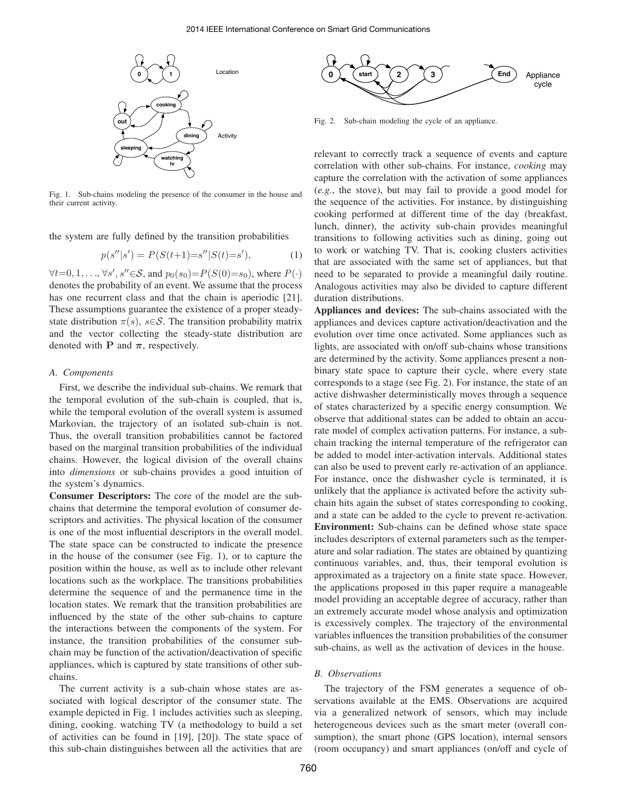

Fig. 1. Sub-chains modeling the presence of the consumer in the house and their current activity.

the system are fully defined by the transition probabilities

$$
p(s''|s') = P(S(t+1)=s''|S(t)=s'),\tag{1}
$$

 $\forall t=0,1,\ldots,\forall s', s'' \in S$ , and  $p_0(s_0) = P(S(0)=s_0)$ , where  $P(\cdot)$ denotes the probability of an event. We assume that the process has one recurrent class and that the chain is aperiodic [21]. These assumptions guarantee the existence of a proper steadystate distribution  $\pi(s)$ ,  $s \in \mathcal{S}$ . The transition probability matrix and the vector collecting the steady-state distribution are denoted with **P** and  $\pi$ , respectively.

## *A. Components*

First, we describe the individual sub-chains. We remark that the temporal evolution of the sub-chain is coupled, that is, while the temporal evolution of the overall system is assumed Markovian, the trajectory of an isolated sub-chain is not. Thus, the overall transition probabilities cannot be factored based on the marginal transition probabilities of the individual chains. However, the logical division of the overall chains into *dimensions* or sub-chains provides a good intuition of the system's dynamics.

**Consumer Descriptors:** The core of the model are the subchains that determine the temporal evolution of consumer descriptors and activities. The physical location of the consumer is one of the most influential descriptors in the overall model. The state space can be constructed to indicate the presence in the house of the consumer (see Fig. 1), or to capture the position within the house, as well as to include other relevant locations such as the workplace. The transitions probabilities determine the sequence of and the permanence time in the location states. We remark that the transition probabilities are influenced by the state of the other sub-chains to capture the interactions between the components of the system. For instance, the transition probabilities of the consumer subchain may be function of the activation/deactivation of specific appliances, which is captured by state transitions of other subchains.

The current activity is a sub-chain whose states are associated with logical descriptor of the consumer state. The example depicted in Fig. 1 includes activities such as sleeping, dining, cooking. watching TV (a methodology to build a set of activities can be found in [19], [20]). The state space of this sub-chain distinguishes between all the activities that are



Fig. 2. Sub-chain modeling the cycle of an appliance.

relevant to correctly track a sequence of events and capture correlation with other sub-chains. For instance, *cooking* may capture the correlation with the activation of some appliances (*e.g.*, the stove), but may fail to provide a good model for the sequence of the activities. For instance, by distinguishing cooking performed at different time of the day (breakfast, lunch, dinner), the activity sub-chain provides meaningful transitions to following activities such as dining, going out to work or watching TV. That is, cooking clusters activities that are associated with the same set of appliances, but that need to be separated to provide a meaningful daily routine. Analogous activities may also be divided to capture different duration distributions.

**Appliances and devices:** The sub-chains associated with the appliances and devices capture activation/deactivation and the evolution over time once activated. Some appliances such as lights, are associated with on/off sub-chains whose transitions are determined by the activity. Some appliances present a nonbinary state space to capture their cycle, where every state corresponds to a stage (see Fig. 2). For instance, the state of an active dishwasher deterministically moves through a sequence of states characterized by a specific energy consumption. We observe that additional states can be added to obtain an accurate model of complex activation patterns. For instance, a subchain tracking the internal temperature of the refrigerator can be added to model inter-activation intervals. Additional states can also be used to prevent early re-activation of an appliance. For instance, once the dishwasher cycle is terminated, it is unlikely that the appliance is activated before the activity subchain hits again the subset of states corresponding to cooking, and a state can be added to the cycle to prevent re-activation. **Environment:** Sub-chains can be defined whose state space includes descriptors of external parameters such as the temperature and solar radiation. The states are obtained by quantizing continuous variables, and, thus, their temporal evolution is approximated as a trajectory on a finite state space. However, the applications proposed in this paper require a manageable model providing an acceptable degree of accuracy, rather than an extremely accurate model whose analysis and optimization is excessively complex. The trajectory of the environmental variables influences the transition probabilities of the consumer sub-chains, as well as the activation of devices in the house.

# *B. Observations*

The trajectory of the FSM generates a sequence of observations available at the EMS. Observations are acquired via a generalized network of sensors, which may include heterogeneous devices such as the smart meter (overall consumption), the smart phone (GPS location), internal sensors (room occupancy) and smart appliances (on/off and cycle of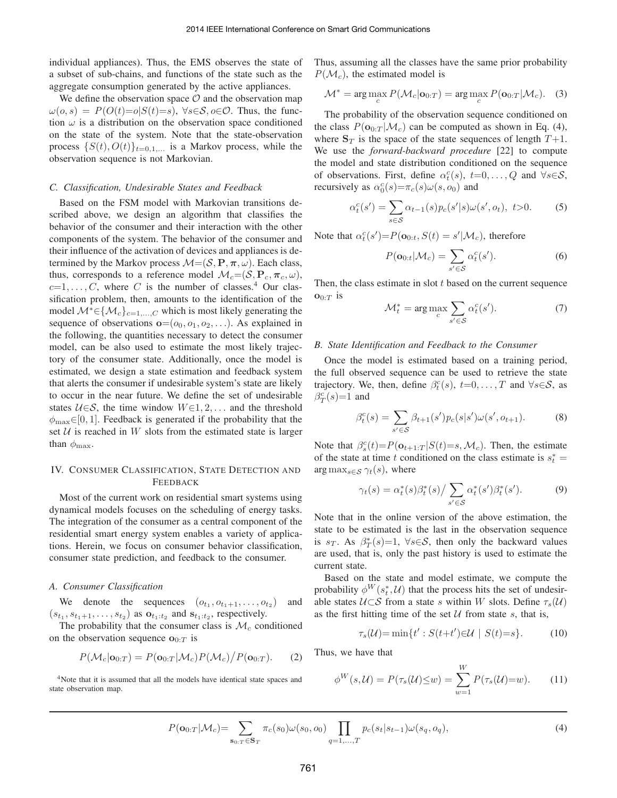individual appliances). Thus, the EMS observes the state of a subset of sub-chains, and functions of the state such as the aggregate consumption generated by the active appliances.

We define the observation space  $\mathcal O$  and the observation map  $\omega(o, s) = P(O(t)=o|S(t)=s), \forall s \in S, o \in \mathcal{O}$ . Thus, the function  $\omega$  is a distribution on the observation space conditioned on the state of the system. Note that the state-observation process  $\{S(t), O(t)\}_{t=0,1,...}$  is a Markov process, while the observation sequence is not Markovian.

## *C. Classification, Undesirable States and Feedback*

Based on the FSM model with Markovian transitions described above, we design an algorithm that classifies the behavior of the consumer and their interaction with the other components of the system. The behavior of the consumer and their influence of the activation of devices and appliances is determined by the Markov process  $\mathcal{M} = (\mathcal{S}, P, \pi, \omega)$ . Each class, thus, corresponds to a reference model  $\mathcal{M}_c = (\mathcal{S}, \mathbf{P}_c, \pi_c, \omega)$ ,  $c=1,\ldots,C$ , where C is the number of classes.<sup>4</sup> Our classification problem, then, amounts to the identification of the model  $\mathcal{M}^* \in \{ \mathcal{M}_c \}_{c=1,\dots,C}$  which is most likely generating the sequence of observations  $o=(o_0, o_1, o_2,...)$ . As explained in the following, the quantities necessary to detect the consumer model, can be also used to estimate the most likely trajectory of the consumer state. Additionally, once the model is estimated, we design a state estimation and feedback system that alerts the consumer if undesirable system's state are likely to occur in the near future. We define the set of undesirable states  $U\in\mathcal{S}$ , the time window  $W\in\{1,2,\ldots\}$  and the threshold  $\phi_{\text{max}}\epsilon[0, 1]$ . Feedback is generated if the probability that the set  $U$  is reached in  $W$  slots from the estimated state is larger than  $\phi_{\text{max}}$ .

# IV. CONSUMER CLASSIFICATION, STATE DETECTION AND FEEDBACK

Most of the current work on residential smart systems using dynamical models focuses on the scheduling of energy tasks. The integration of the consumer as a central component of the residential smart energy system enables a variety of applications. Herein, we focus on consumer behavior classification, consumer state prediction, and feedback to the consumer.

## *A. Consumer Classification*

We denote the sequences  $(o_{t_1}, o_{t_1+1}, \ldots, o_{t_2})$  and  $(s_{t_1}, s_{t_1+1}, \ldots, s_{t_2})$  as  $\mathbf{o}_{t_1:t_2}$  and  $\mathbf{s}_{t_1:t_2}$ , respectively.

The probability that the consumer class is  $\mathcal{M}_c$  conditioned on the observation sequence  $\mathbf{o}_{0:T}$  is

$$
P(\mathcal{M}_c|\mathbf{o}_{0:T}) = P(\mathbf{o}_{0:T}|\mathcal{M}_c)P(\mathcal{M}_c)/P(\mathbf{o}_{0:T}).
$$
 (2)

<sup>4</sup>Note that it is assumed that all the models have identical state spaces and state observation map.

Thus, assuming all the classes have the same prior probability  $P(\mathcal{M}_c)$ , the estimated model is

$$
\mathcal{M}^* = \arg\max_c P(\mathcal{M}_c | \mathbf{o}_{0:T}) = \arg\max_c P(\mathbf{o}_{0:T} | \mathcal{M}_c).
$$
 (3)

The probability of the observation sequence conditioned on the class  $P(\mathbf{o}_{0:T} | \mathcal{M}_c)$  can be computed as shown in Eq. (4), where  $S_T$  is the space of the state sequences of length  $T+1$ . We use the *forward-backward procedure* [22] to compute the model and state distribution conditioned on the sequence of observations. First, define  $\alpha_t^c(s)$ ,  $t=0,\ldots,Q$  and  $\forall s \in \mathcal{S}$ , recursively as  $\alpha_0^c(s) = \pi_c(s)\omega(s, o_0)$  and

$$
\alpha_t^c(s') = \sum_{s \in S} \alpha_{t-1}(s) p_c(s'|s) \omega(s', o_t), \ t > 0.
$$
 (5)

Note that  $\alpha_t^c(s') = P(\mathbf{o}_{0:t}, S(t) = s' | \mathcal{M}_c)$ , therefore

$$
P(\mathbf{o}_{0:t}|\mathcal{M}_c) = \sum_{s' \in \mathcal{S}} \alpha_t^c(s'). \tag{6}
$$

Then, the class estimate in slot  $t$  based on the current sequence  $\mathbf{o}_{0:T}$  is

$$
\mathcal{M}_t^* = \arg\max_c \sum_{s' \in \mathcal{S}} \alpha_t^c(s'). \tag{7}
$$

#### *B. State Identification and Feedback to the Consumer*

Once the model is estimated based on a training period, the full observed sequence can be used to retrieve the state trajectory. We, then, define  $\beta_t^c(s)$ ,  $t=0,\ldots,T$  and  $\forall s \in S$ , as  $\beta_T^c(s)=1$  and

$$
\beta_t^c(s) = \sum_{s' \in \mathcal{S}} \beta_{t+1}(s') p_c(s|s') \omega(s', o_{t+1}). \tag{8}
$$

Note that  $\beta_s^c(t) = P(\mathbf{o}_{t+1:T} | S(t)=s, \mathcal{M}_c)$ . Then, the estimate of the state at time t conditioned on the class estimate is  $s_t^* =$ arg max $s \in S$   $\gamma_t(s)$ , where

$$
\gamma_t(s) = \alpha_t^*(s)\beta_t^*(s) / \sum_{s' \in \mathcal{S}} \alpha_t^*(s')\beta_t^*(s'). \tag{9}
$$

Note that in the online version of the above estimation, the state to be estimated is the last in the observation sequence is  $s_T$ . As  $\beta^*_T(s)=1$ ,  $\forall s \in S$ , then only the backward values are used, that is, only the past history is used to estimate the current state.

Based on the state and model estimate, we compute the probability  $\phi^W(s_t^*, \mathcal{U})$  that the process hits the set of undesirable states  $U \subset S$  from a state s within W slots. Define  $\tau_s(U)$ as the first hitting time of the set  $U$  from state  $s$ , that is,

$$
\tau_s(\mathcal{U}) = \min\{t' : S(t+t') \in \mathcal{U} \mid S(t)=s\}.
$$
 (10)

Thus, we have that

$$
\phi^W(s,\mathcal{U}) = P(\tau_s(\mathcal{U}) \le w) = \sum_{w=1}^W P(\tau_s(\mathcal{U}) = w). \tag{11}
$$

$$
P(\mathbf{o}_{0:T}|\mathcal{M}_c) = \sum_{\mathbf{s}_{0:T} \in \mathbf{S}_T} \pi_c(s_0) \omega(s_0, o_0) \prod_{q=1,...,T} p_c(s_t|s_{t-1}) \omega(s_q, o_q),\tag{4}
$$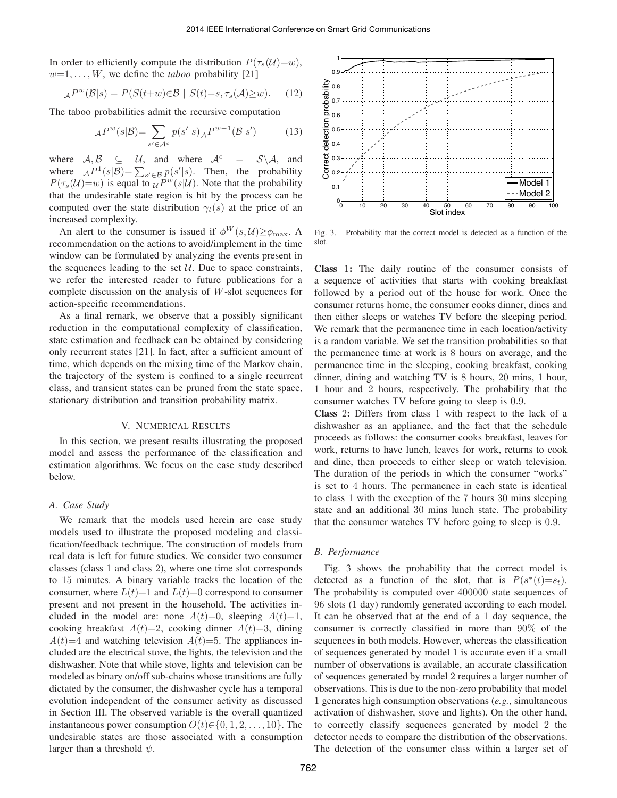In order to efficiently compute the distribution  $P(\tau_s(\mathcal{U})=w)$ ,  $w=1,\ldots,W$ , we define the *taboo* probability [21]

$$
{}_{\mathcal{A}}P^w(\mathcal{B}|s) = P(S(t+w)\in\mathcal{B} \mid S(t)=s, \tau_s(\mathcal{A})\geq w). \tag{12}
$$

The taboo probabilities admit the recursive computation

$$
{}_{\mathcal{A}}P^w(s|\mathcal{B}) = \sum_{s' \in \mathcal{A}^c} p(s'|s) {}_{\mathcal{A}}P^{w-1}(\mathcal{B}|s') \tag{13}
$$

where  $A, B \subseteq U$ , and where  $A^c = S \setminus A$ , and where  ${}_{\mathcal{A}}P^1(s|\mathcal{B}) = \sum_{s' \in \mathcal{B}} p(s'|s)$ . Then, the probability  $P(\tau_s(\mathcal{U})=w)$  is equal to  $\mathcal{U}P^w(s|\mathcal{U})$ . Note that the probability that the undesirable state region is hit by the process can be computed over the state distribution  $\gamma_t(s)$  at the price of an increased complexity.

An alert to the consumer is issued if  $\phi^W(s, \mathcal{U}) \ge \phi_{\text{max}}$ . A recommendation on the actions to avoid/implement in the time window can be formulated by analyzing the events present in the sequences leading to the set  $U$ . Due to space constraints, we refer the interested reader to future publications for a complete discussion on the analysis of W-slot sequences for action-specific recommendations.

As a final remark, we observe that a possibly significant reduction in the computational complexity of classification, state estimation and feedback can be obtained by considering only recurrent states [21]. In fact, after a sufficient amount of time, which depends on the mixing time of the Markov chain, the trajectory of the system is confined to a single recurrent class, and transient states can be pruned from the state space, stationary distribution and transition probability matrix.

#### V. NUMERICAL RESULTS

In this section, we present results illustrating the proposed model and assess the performance of the classification and estimation algorithms. We focus on the case study described below.

### *A. Case Study*

We remark that the models used herein are case study models used to illustrate the proposed modeling and classification/feedback technique. The construction of models from real data is left for future studies. We consider two consumer classes (class 1 and class 2), where one time slot corresponds to 15 minutes. A binary variable tracks the location of the consumer, where  $L(t)=1$  and  $L(t)=0$  correspond to consumer present and not present in the household. The activities included in the model are: none  $A(t)=0$ , sleeping  $A(t)=1$ , cooking breakfast  $A(t)=2$ , cooking dinner  $A(t)=3$ , dining  $A(t)=4$  and watching television  $A(t)=5$ . The appliances included are the electrical stove, the lights, the television and the dishwasher. Note that while stove, lights and television can be modeled as binary on/off sub-chains whose transitions are fully dictated by the consumer, the dishwasher cycle has a temporal evolution independent of the consumer activity as discussed in Section III. The observed variable is the overall quantized instantaneous power consumption  $O(t) \in \{0, 1, 2, \ldots, 10\}$ . The undesirable states are those associated with a consumption larger than a threshold  $\psi$ .



Fig. 3. Probability that the correct model is detected as a function of the slot.

**Class** 1**:** The daily routine of the consumer consists of a sequence of activities that starts with cooking breakfast followed by a period out of the house for work. Once the consumer returns home, the consumer cooks dinner, dines and then either sleeps or watches TV before the sleeping period. We remark that the permanence time in each location/activity is a random variable. We set the transition probabilities so that the permanence time at work is 8 hours on average, and the permanence time in the sleeping, cooking breakfast, cooking dinner, dining and watching TV is 8 hours, 20 mins, 1 hour, 1 hour and 2 hours, respectively. The probability that the consumer watches TV before going to sleep is 0.9.

**Class** 2**:** Differs from class 1 with respect to the lack of a dishwasher as an appliance, and the fact that the schedule proceeds as follows: the consumer cooks breakfast, leaves for work, returns to have lunch, leaves for work, returns to cook and dine, then proceeds to either sleep or watch television. The duration of the periods in which the consumer "works" is set to 4 hours. The permanence in each state is identical to class 1 with the exception of the 7 hours 30 mins sleeping state and an additional 30 mins lunch state. The probability that the consumer watches TV before going to sleep is 0.9.

#### *B. Performance*

Fig. 3 shows the probability that the correct model is detected as a function of the slot, that is  $P(s^*(t)=s_t)$ . The probability is computed over 400000 state sequences of 96 slots (1 day) randomly generated according to each model. It can be observed that at the end of a 1 day sequence, the consumer is correctly classified in more than 90% of the sequences in both models. However, whereas the classification of sequences generated by model 1 is accurate even if a small number of observations is available, an accurate classification of sequences generated by model 2 requires a larger number of observations. This is due to the non-zero probability that model 1 generates high consumption observations (*e.g.*, simultaneous activation of dishwasher, stove and lights). On the other hand, to correctly classify sequences generated by model 2 the detector needs to compare the distribution of the observations. The detection of the consumer class within a larger set of